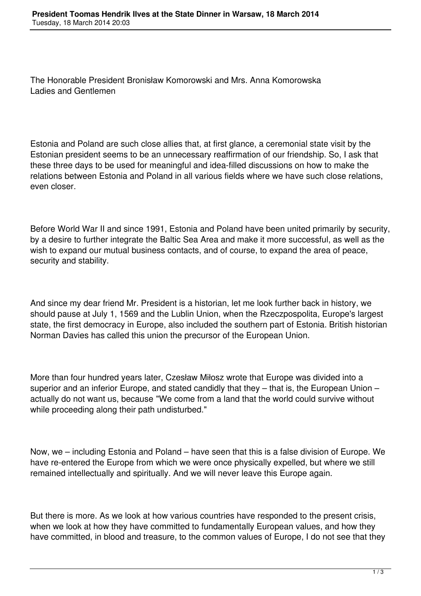The Honorable President Bronisław Komorowski and Mrs. Anna Komorowska Ladies and Gentlemen

Estonia and Poland are such close allies that, at first glance, a ceremonial state visit by the Estonian president seems to be an unnecessary reaffirmation of our friendship. So, I ask that these three days to be used for meaningful and idea-filled discussions on how to make the relations between Estonia and Poland in all various fields where we have such close relations, even closer.

Before World War II and since 1991, Estonia and Poland have been united primarily by security, by a desire to further integrate the Baltic Sea Area and make it more successful, as well as the wish to expand our mutual business contacts, and of course, to expand the area of peace, security and stability.

And since my dear friend Mr. President is a historian, let me look further back in history, we should pause at July 1, 1569 and the Lublin Union, when the Rzeczpospolita, Europe's largest state, the first democracy in Europe, also included the southern part of Estonia. British historian Norman Davies has called this union the precursor of the European Union.

More than four hundred years later, Czesław Miłosz wrote that Europe was divided into a superior and an inferior Europe, and stated candidly that they – that is, the European Union – actually do not want us, because "We come from a land that the world could survive without while proceeding along their path undisturbed."

Now, we – including Estonia and Poland – have seen that this is a false division of Europe. We have re-entered the Europe from which we were once physically expelled, but where we still remained intellectually and spiritually. And we will never leave this Europe again.

But there is more. As we look at how various countries have responded to the present crisis, when we look at how they have committed to fundamentally European values, and how they have committed, in blood and treasure, to the common values of Europe, I do not see that they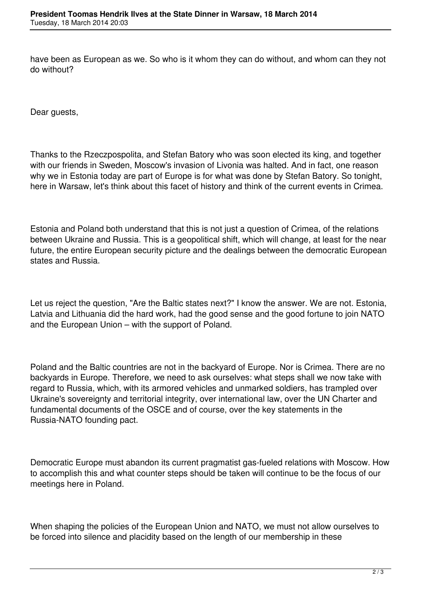have been as European as we. So who is it whom they can do without, and whom can they not do without?

Dear guests,

Thanks to the Rzeczpospolita, and Stefan Batory who was soon elected its king, and together with our friends in Sweden, Moscow's invasion of Livonia was halted. And in fact, one reason why we in Estonia today are part of Europe is for what was done by Stefan Batory. So tonight, here in Warsaw, let's think about this facet of history and think of the current events in Crimea.

Estonia and Poland both understand that this is not just a question of Crimea, of the relations between Ukraine and Russia. This is a geopolitical shift, which will change, at least for the near future, the entire European security picture and the dealings between the democratic European states and Russia.

Let us reject the question, "Are the Baltic states next?" I know the answer. We are not. Estonia, Latvia and Lithuania did the hard work, had the good sense and the good fortune to join NATO and the European Union – with the support of Poland.

Poland and the Baltic countries are not in the backyard of Europe. Nor is Crimea. There are no backyards in Europe. Therefore, we need to ask ourselves: what steps shall we now take with regard to Russia, which, with its armored vehicles and unmarked soldiers, has trampled over Ukraine's sovereignty and territorial integrity, over international law, over the UN Charter and fundamental documents of the OSCE and of course, over the key statements in the Russia-NATO founding pact.

Democratic Europe must abandon its current pragmatist gas-fueled relations with Moscow. How to accomplish this and what counter steps should be taken will continue to be the focus of our meetings here in Poland.

When shaping the policies of the European Union and NATO, we must not allow ourselves to be forced into silence and placidity based on the length of our membership in these